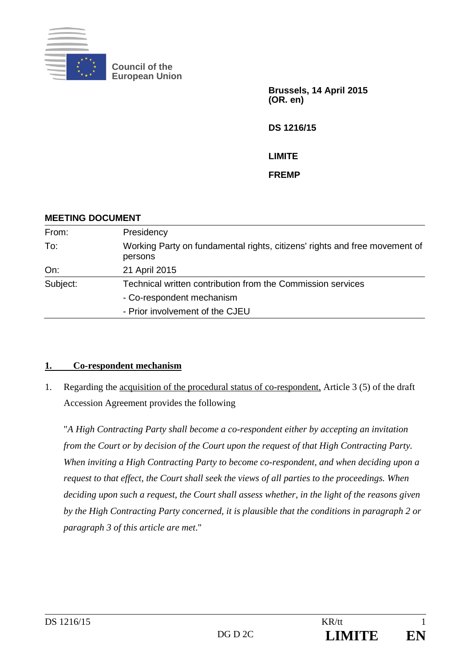

**Council of the European Union** 

> **Brussels, 14 April 2015 (OR. en)**

**DS 1216/15** 

**LIMITE** 

**FREMP** 

| <b>MEETING DOCUMENT</b> |                                                                                       |
|-------------------------|---------------------------------------------------------------------------------------|
| From:                   | Presidency                                                                            |
| To:                     | Working Party on fundamental rights, citizens' rights and free movement of<br>persons |
| On:                     | 21 April 2015                                                                         |
| Subject:                | Technical written contribution from the Commission services                           |
|                         | - Co-respondent mechanism                                                             |
|                         | - Prior involvement of the CJEU                                                       |

## **1. Co-respondent mechanism**

1. Regarding the acquisition of the procedural status of co-respondent, Article 3 (5) of the draft Accession Agreement provides the following

 "*A High Contracting Party shall become a co-respondent either by accepting an invitation from the Court or by decision of the Court upon the request of that High Contracting Party. When inviting a High Contracting Party to become co-respondent, and when deciding upon a request to that effect, the Court shall seek the views of all parties to the proceedings. When deciding upon such a request, the Court shall assess whether, in the light of the reasons given by the High Contracting Party concerned, it is plausible that the conditions in paragraph 2 or paragraph 3 of this article are met*."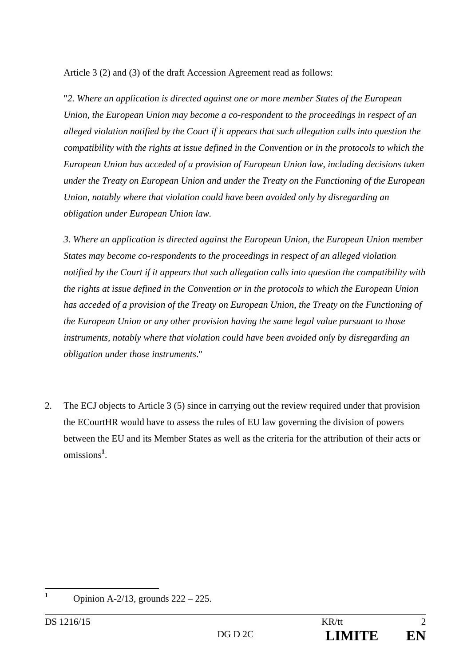Article 3 (2) and (3) of the draft Accession Agreement read as follows:

 "*2. Where an application is directed against one or more member States of the European Union, the European Union may become a co-respondent to the proceedings in respect of an alleged violation notified by the Court if it appears that such allegation calls into question the compatibility with the rights at issue defined in the Convention or in the protocols to which the European Union has acceded of a provision of European Union law, including decisions taken under the Treaty on European Union and under the Treaty on the Functioning of the European Union, notably where that violation could have been avoided only by disregarding an obligation under European Union law.* 

 *3. Where an application is directed against the European Union, the European Union member States may become co-respondents to the proceedings in respect of an alleged violation notified by the Court if it appears that such allegation calls into question the compatibility with the rights at issue defined in the Convention or in the protocols to which the European Union has acceded of a provision of the Treaty on European Union, the Treaty on the Functioning of the European Union or any other provision having the same legal value pursuant to those instruments, notably where that violation could have been avoided only by disregarding an obligation under those instruments*."

2. The ECJ objects to Article 3 (5) since in carrying out the review required under that provision the ECourtHR would have to assess the rules of EU law governing the division of powers between the EU and its Member States as well as the criteria for the attribution of their acts or omissions**<sup>1</sup>** .

**1**

Opinion A-2/13, grounds 222 – 225.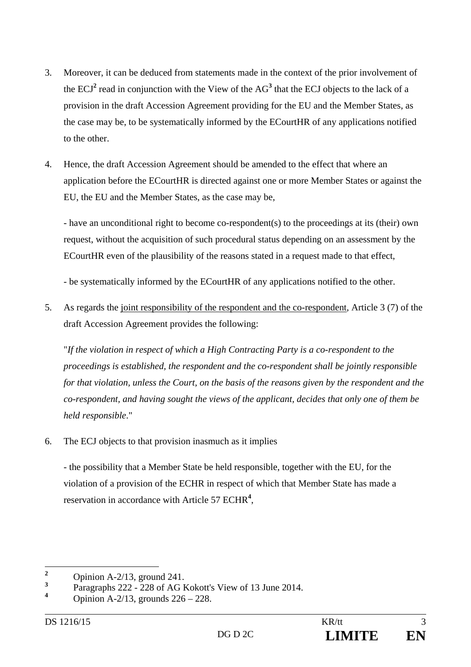- 3. Moreover, it can be deduced from statements made in the context of the prior involvement of the  $ECJ<sup>2</sup>$  read in conjunction with the View of the AG<sup>3</sup> that the ECJ objects to the lack of a provision in the draft Accession Agreement providing for the EU and the Member States, as the case may be, to be systematically informed by the ECourtHR of any applications notified to the other.
- 4. Hence, the draft Accession Agreement should be amended to the effect that where an application before the ECourtHR is directed against one or more Member States or against the EU, the EU and the Member States, as the case may be,

 - have an unconditional right to become co-respondent(s) to the proceedings at its (their) own request, without the acquisition of such procedural status depending on an assessment by the ECourtHR even of the plausibility of the reasons stated in a request made to that effect,

- be systematically informed by the ECourtHR of any applications notified to the other.

5. As regards the joint responsibility of the respondent and the co-respondent, Article 3 (7) of the draft Accession Agreement provides the following:

 "*If the violation in respect of which a High Contracting Party is a co-respondent to the proceedings is established, the respondent and the co-respondent shall be jointly responsible for that violation, unless the Court, on the basis of the reasons given by the respondent and the co-respondent, and having sought the views of the applicant, decides that only one of them be held responsible*."

6. The ECJ objects to that provision inasmuch as it implies

 - the possibility that a Member State be held responsible, together with the EU, for the violation of a provision of the ECHR in respect of which that Member State has made a reservation in accordance with Article 57 ECHR**<sup>4</sup>** ,

 **2** Opinion A-2/13, ground 241.

**<sup>3</sup>** Paragraphs 222 - 228 of AG Kokott's View of 13 June 2014.

**<sup>4</sup>** Opinion A-2/13, grounds 226 – 228.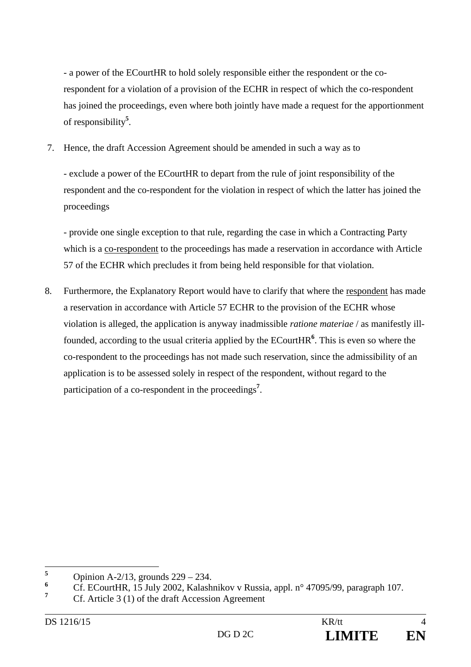- a power of the ECourtHR to hold solely responsible either the respondent or the corespondent for a violation of a provision of the ECHR in respect of which the co-respondent has joined the proceedings, even where both jointly have made a request for the apportionment of responsibility**<sup>5</sup>** .

7. Hence, the draft Accession Agreement should be amended in such a way as to

 - exclude a power of the ECourtHR to depart from the rule of joint responsibility of the respondent and the co-respondent for the violation in respect of which the latter has joined the proceedings

 - provide one single exception to that rule, regarding the case in which a Contracting Party which is a co-respondent to the proceedings has made a reservation in accordance with Article 57 of the ECHR which precludes it from being held responsible for that violation.

8. Furthermore, the Explanatory Report would have to clarify that where the respondent has made a reservation in accordance with Article 57 ECHR to the provision of the ECHR whose violation is alleged, the application is anyway inadmissible *ratione materiae* / as manifestly illfounded, according to the usual criteria applied by the ECourtHR**<sup>6</sup>** . This is even so where the co-respondent to the proceedings has not made such reservation, since the admissibility of an application is to be assessed solely in respect of the respondent, without regard to the participation of a co-respondent in the proceedings**<sup>7</sup>** .

 **5** Opinion A-2/13, grounds 229 – 234.

**<sup>6</sup>** Cf. ECourtHR, 15 July 2002, Kalashnikov v Russia, appl. n° 47095/99, paragraph 107.

**<sup>7</sup>** Cf. Article 3 (1) of the draft Accession Agreement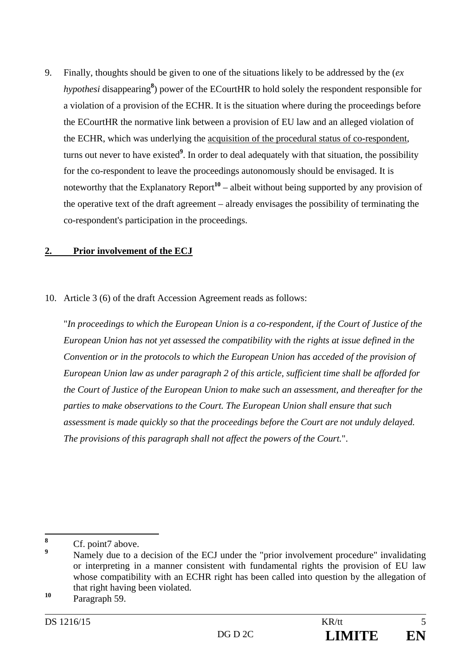9. Finally, thoughts should be given to one of the situations likely to be addressed by the (*ex hypothesi* disappearing**<sup>8</sup>** ) power of the ECourtHR to hold solely the respondent responsible for a violation of a provision of the ECHR. It is the situation where during the proceedings before the ECourtHR the normative link between a provision of EU law and an alleged violation of the ECHR, which was underlying the acquisition of the procedural status of co-respondent, turns out never to have existed<sup>9</sup>. In order to deal adequately with that situation, the possibility for the co-respondent to leave the proceedings autonomously should be envisaged. It is noteworthy that the Explanatory Report**<sup>10</sup>** – albeit without being supported by any provision of the operative text of the draft agreement – already envisages the possibility of terminating the co-respondent's participation in the proceedings.

## **2. Prior involvement of the ECJ**

10. Article 3 (6) of the draft Accession Agreement reads as follows:

 "*In proceedings to which the European Union is a co-respondent, if the Court of Justice of the European Union has not yet assessed the compatibility with the rights at issue defined in the Convention or in the protocols to which the European Union has acceded of the provision of European Union law as under paragraph 2 of this article, sufficient time shall be afforded for the Court of Justice of the European Union to make such an assessment, and thereafter for the parties to make observations to the Court. The European Union shall ensure that such assessment is made quickly so that the proceedings before the Court are not unduly delayed. The provisions of this paragraph shall not affect the powers of the Court.*".

 **8** Cf. point7 above.

**<sup>9</sup>** Namely due to a decision of the ECJ under the "prior involvement procedure" invalidating or interpreting in a manner consistent with fundamental rights the provision of EU law whose compatibility with an ECHR right has been called into question by the allegation of that right having been violated.

**<sup>10</sup>** Paragraph 59.